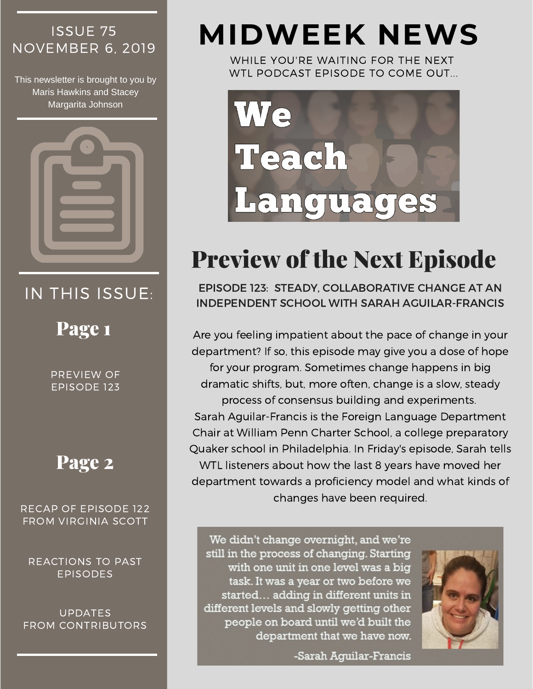# ISSUE 75

This newsletter is brought to you by Maris Hawkins and Stacey Margarita Johnson



## IN THIS ISSUE:

Page 1

PREVIEW OF EPISODE 123

### Page 2

RECAP OF EPISODE 122 FROM VIRGINIA SCOTT

REACTIONS TO PAST EPISODES

UPDATES FROM CONTRIBUTORS

# NOVEMBER 6, <sup>2019</sup> **MIDWEEK NEWS**

WHILE YOU'RE WAITING FOR THE NEXT WTL PODCAST EPISODE TO COME OUT...



## Preview of the Next Episode

EPISODE 123: STEADY, COLLABORATIVE CHANGE AT AN INDEPENDENT SCHOOL WITH SARAH AGUILAR-FRANCIS

Are you feeling impatient about the pace of change in your department? If so, this episode may give you a dose of hope for your program. Sometimes change happens in big dramatic shifts, but, more often, change is a slow, steady process of consensus building and experiments. Sarah [Aguilar-Francis](https://weteachlang.com/2019/10/25/121-with-gwen-barnes-karol-and-maggie-broner-part-i/) is the Foreign Language Department Chair at William Penn Charter School, a college preparatory Quaker school in Philadelphia. In Friday's episode, Sarah tells WTL listeners about how the last 8 years have moved her department towards a proficiency model and what kinds of changes have been required.

We didn't change overnight, and we're still in the process of changing. Starting with one unit in one level was a big task. It was a year or two before we started... adding in different units in different levels and slowly getting other people on board until we'd built the department that we have now.

-Sarah Aquilar-Francis